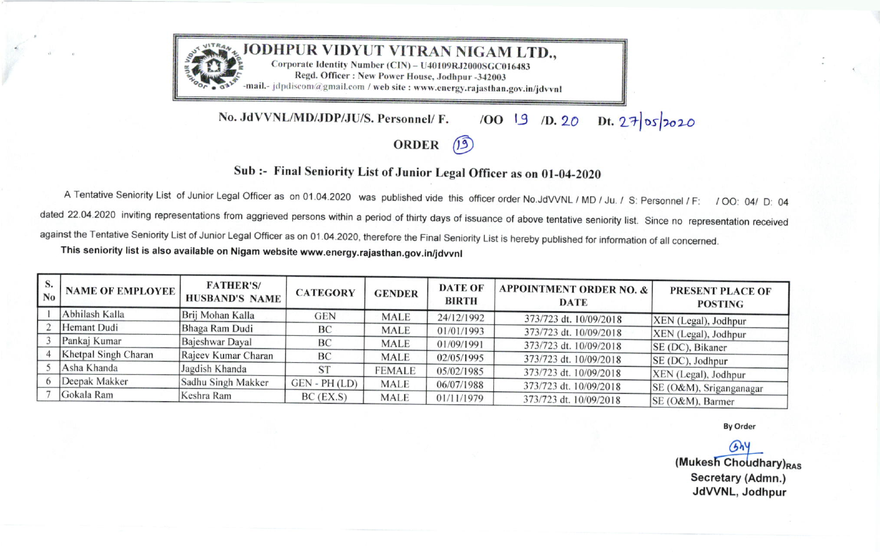

No. JdVVNL/MD/JDP/JU/S. Personnel/ F. /OO 19 /D. 20 Dt. 27 05 2020

## ORDER (19)

## Sub :- Final Seniority List of Junior Legal Officer as on 01-04-2020

A Tentative Seniority List of Junior Legal Officer as on 01.04.2020 was published vide this officer order No.JdVVNL / MD / Ju. / S: Personnel / F: / OO: 04/ D: 04<br>dated 22.04.2020 inviting representations from aggrieved pe against the Tentative Seniority List of Junior Legal Officer as on 01.04.2020, therefore the Final Seniority List is hereby published for information of all concerned.

This seniority list is also available on Nigam website www.energy.rajasthan.gov.in/jdvvnl

| S.<br>No | <b>NAME OF EMPLOYEE</b> | <b>FATHER'S/</b><br><b>HUSBAND'S NAME</b> | <b>CATEGORY</b> | <b>GENDER</b> | <b>DATE OF</b><br><b>BIRTH</b> | <b>APPOINTMENT ORDER NO. &amp;</b><br><b>DATE</b> | PRESENT PLACE OF<br><b>POSTING</b> |
|----------|-------------------------|-------------------------------------------|-----------------|---------------|--------------------------------|---------------------------------------------------|------------------------------------|
|          | Abhilash Kalla          | Brij Mohan Kalla                          | <b>GEN</b>      | <b>MALE</b>   | 24/12/1992                     | 373/723 dt. 10/09/2018                            | XEN (Legal), Jodhpur               |
|          | Hemant Dudi             | Bhaga Ram Dudi                            | BC              | <b>MALE</b>   | 01/01/1993                     | 373/723 dt. 10/09/2018                            | XEN (Legal), Jodhpur               |
|          | Pankaj Kumar            | Bajeshwar Dayal                           | BC              | <b>MALE</b>   | 01/09/1991                     | 373/723 dt. 10/09/2018                            | SE (DC), Bikaner                   |
|          | Khetpal Singh Charan    | Rajeev Kumar Charan                       | BC              | <b>MALE</b>   | 02/05/1995                     | 373/723 dt. 10/09/2018                            | SE (DC), Jodhpur                   |
|          | Asha Khanda             | Jagdish Khanda                            | <b>ST</b>       | <b>FEMALE</b> | 05/02/1985                     | 373/723 dt. 10/09/2018                            | XEN (Legal), Jodhpur               |
|          | Deepak Makker           | Sadhu Singh Makker                        | $GEN - PH (LD)$ | <b>MALE</b>   | 06/07/1988                     | 373/723 dt. 10/09/2018                            | SE (O&M), Sriganganagar            |
|          | Gokala Ram              | Keshra Ram                                | BC (EX.S)       | <b>MALE</b>   | 01/11/1979                     | 373/723 dt. 10/09/2018                            | SE (O&M), Barmer                   |

**By Order** 

 $(b)$  $(Mu$ kesh Choudhary) $_{RAS}$ Secretary (Admn.) JdWNL, Jodhpur